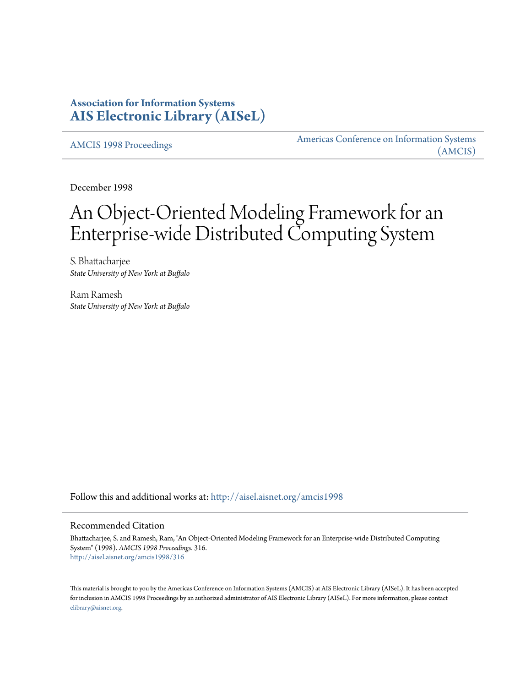## **Association for Information Systems [AIS Electronic Library \(AISeL\)](http://aisel.aisnet.org?utm_source=aisel.aisnet.org%2Famcis1998%2F316&utm_medium=PDF&utm_campaign=PDFCoverPages)**

[AMCIS 1998 Proceedings](http://aisel.aisnet.org/amcis1998?utm_source=aisel.aisnet.org%2Famcis1998%2F316&utm_medium=PDF&utm_campaign=PDFCoverPages)

[Americas Conference on Information Systems](http://aisel.aisnet.org/amcis?utm_source=aisel.aisnet.org%2Famcis1998%2F316&utm_medium=PDF&utm_campaign=PDFCoverPages) [\(AMCIS\)](http://aisel.aisnet.org/amcis?utm_source=aisel.aisnet.org%2Famcis1998%2F316&utm_medium=PDF&utm_campaign=PDFCoverPages)

December 1998

# An Object-Oriented Modeling Framework for an Enterprise-wide Distributed Computing System

S. Bhattacharjee *State University of New York at Buffalo*

Ram Ramesh *State University of New York at Buffalo*

Follow this and additional works at: [http://aisel.aisnet.org/amcis1998](http://aisel.aisnet.org/amcis1998?utm_source=aisel.aisnet.org%2Famcis1998%2F316&utm_medium=PDF&utm_campaign=PDFCoverPages)

#### Recommended Citation

Bhattacharjee, S. and Ramesh, Ram, "An Object-Oriented Modeling Framework for an Enterprise-wide Distributed Computing System" (1998). *AMCIS 1998 Proceedings*. 316. [http://aisel.aisnet.org/amcis1998/316](http://aisel.aisnet.org/amcis1998/316?utm_source=aisel.aisnet.org%2Famcis1998%2F316&utm_medium=PDF&utm_campaign=PDFCoverPages)

This material is brought to you by the Americas Conference on Information Systems (AMCIS) at AIS Electronic Library (AISeL). It has been accepted for inclusion in AMCIS 1998 Proceedings by an authorized administrator of AIS Electronic Library (AISeL). For more information, please contact [elibrary@aisnet.org.](mailto:elibrary@aisnet.org%3E)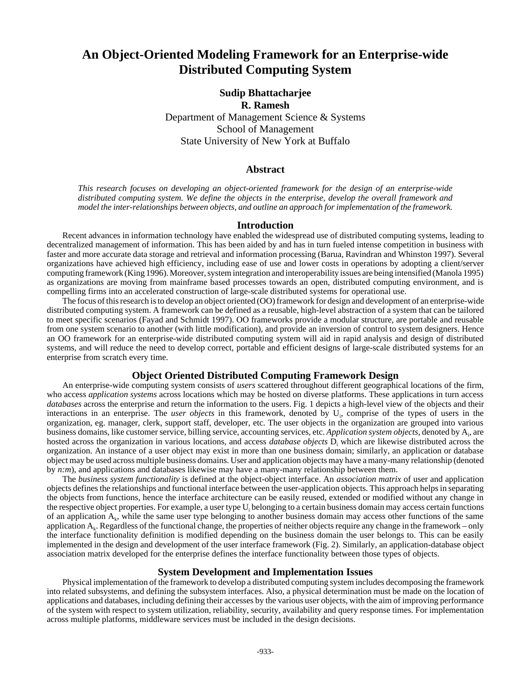# **An Object-Oriented Modeling Framework for an Enterprise-wide Distributed Computing System**

## **Sudip Bhattacharjee**

**R. Ramesh**

Department of Management Science & Systems School of Management State University of New York at Buffalo

#### **Abstract**

*This research focuses on developing an object-oriented framework for the design of an enterprise-wide distributed computing system. We define the objects in the enterprise, develop the overall framework and model the inter-relationships between objects, and outline an approach for implementation of the framework.*

#### **Introduction**

Recent advances in information technology have enabled the widespread use of distributed computing systems, leading to decentralized management of information. This has been aided by and has in turn fueled intense competition in business with faster and more accurate data storage and retrieval and information processing (Barua, Ravindran and Whinston 1997). Several organizations have achieved high efficiency, including ease of use and lower costs in operations by adopting a client/server computing framework (King 1996). Moreover, system integration and interoperability issues are being intensified (Manola 1995) as organizations are moving from mainframe based processes towards an open, distributed computing environment, and is compelling firms into an accelerated construction of large-scale distributed systems for operational use.

The focus of this research is to develop an object oriented (OO) framework for design and development of an enterprise-wide distributed computing system. A framework can be defined as a reusable, high-level abstraction of a system that can be tailored to meet specific scenarios (Fayad and Schmidt 1997). OO frameworks provide a modular structure, are portable and reusable from one system scenario to another (with little modification), and provide an inversion of control to system designers. Hence an OO framework for an enterprise-wide distributed computing system will aid in rapid analysis and design of distributed systems, and will reduce the need to develop correct, portable and efficient designs of large-scale distributed systems for an enterprise from scratch every time.

#### **Object Oriented Distributed Computing Framework Design**

An enterprise-wide computing system consists of *users* scattered throughout different geographical locations of the firm, who access *application systems* across locations which may be hosted on diverse platforms. These applications in turn access *databases* across the enterprise and return the information to the users. Fig. 1 depicts a high-level view of the objects and their interactions in an enterprise. The *user objects* in this framework, denoted by U<sub>i</sub>, comprise of the types of users in the organization, eg. manager, clerk, support staff, developer, etc. The user objects in the organization are grouped into various business domains, like customer service, billing service, accounting services, etc. *Application system objects*, denoted by A<sub>i</sub>, are hosted across the organization in various locations, and access *database objects*  $D_i$  which are likewise distributed across the organization. An instance of a user object may exist in more than one business domain; similarly, an application or database object may be used across multiple business domains. User and application objects may have a many-many relationship (denoted by *n:m*), and applications and databases likewise may have a many-many relationship between them.

The *business system functionality* is defined at the object-object interface. An *association matrix* of user and application objects defines the relationships and functional interface between the user-application objects. This approach helps in separating the objects from functions, hence the interface architecture can be easily reused, extended or modified without any change in the respective object properties. For example, a user type U<sub>i</sub> belonging to a certain business domain may access certain functions of an application  $A_k$ , while the same user type belonging to another business domain may access other functions of the same application  $A_k$ . Regardless of the functional change, the properties of neither objects require any change in the framework – only the interface functionality definition is modified depending on the business domain the user belongs to. This can be easily implemented in the design and development of the user interface framework (Fig. 2). Similarly, an application-database object association matrix developed for the enterprise defines the interface functionality between those types of objects.

#### **System Development and Implementation Issues**

Physical implementation of the framework to develop a distributed computing system includes decomposing the framework into related subsystems, and defining the subsystem interfaces. Also, a physical determination must be made on the location of applications and databases, including defining their accesses by the various user objects, with the aim of improving performance of the system with respect to system utilization, reliability, security, availability and query response times. For implementation across multiple platforms, middleware services must be included in the design decisions.